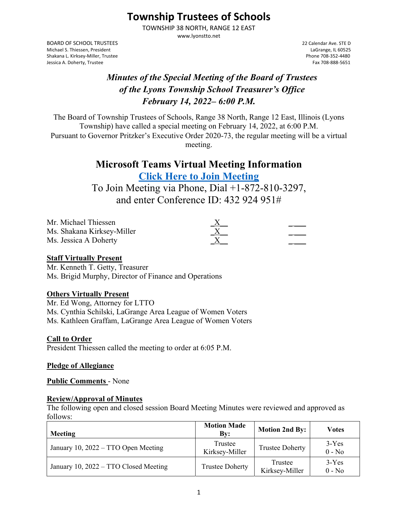# **Township Trustees of Schools**

TOWNSHIP 38 NORTH, RANGE 12 EAST www.lyonstto.net

BOARD OF SCHOOL TRUSTEES 22 Calendar Ave. STE D Michael S. Thiessen, President Shakana L. Kirksey‐Miller, Trustee Phone 708‐352‐4480 Jessica A. Doherty, Trustee

## *Minutes of the Special Meeting of the Board of Trustees of the Lyons Township School Treasurer's Office February 14, 2022– 6:00 P.M.*

The Board of Township Trustees of Schools, Range 38 North, Range 12 East, Illinois (Lyons Township) have called a special meeting on February 14, 2022, at 6:00 P.M. Pursuant to Governor Pritzker's Executive Order 2020-73, the regular meeting will be a virtual meeting.

## **Microsoft Teams Virtual Meeting Information Click Here to Join Meeting**

To Join Meeting via Phone, Dial +1-872-810-3297, and enter Conference ID: 432 924 951#

| Mr. Michael Thiessen       |          |  |
|----------------------------|----------|--|
| Ms. Shakana Kirksey-Miller | $\Delta$ |  |
| Ms. Jessica A Doherty      | $\Delta$ |  |

#### **Staff Virtually Present**

Mr. Kenneth T. Getty, Treasurer Ms. Brigid Murphy, Director of Finance and Operations

## **Others Virtually Present**

Mr. Ed Wong, Attorney for LTTO Ms. Cynthia Schilski, LaGrange Area League of Women Voters Ms. Kathleen Graffam, LaGrange Area League of Women Voters

## **Call to Order**

President Thiessen called the meeting to order at 6:05 P.M.

#### **Pledge of Allegiance**

**Public Comments** - None

## **Review/Approval of Minutes**

The following open and closed session Board Meeting Minutes were reviewed and approved as follows:

| Meeting                               | <b>Motion Made</b><br>Bv: | <b>Motion 2nd By:</b>     | Votes               |
|---------------------------------------|---------------------------|---------------------------|---------------------|
| January 10, 2022 – TTO Open Meeting   | Trustee<br>Kirksey-Miller | <b>Trustee Doherty</b>    | $3-Yes$<br>$0 - No$ |
| January 10, 2022 – TTO Closed Meeting | <b>Trustee Doherty</b>    | Trustee<br>Kirksey-Miller | $3-Yes$<br>$0 - No$ |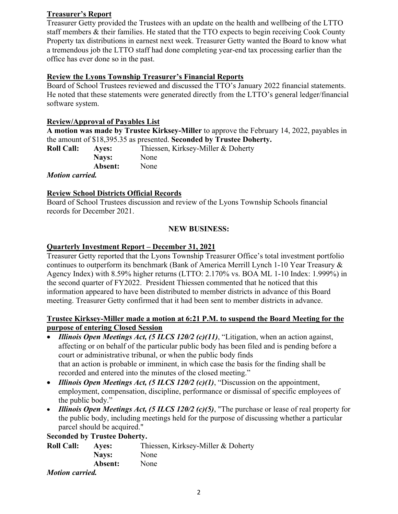## **Treasurer's Report**

Treasurer Getty provided the Trustees with an update on the health and wellbeing of the LTTO staff members & their families. He stated that the TTO expects to begin receiving Cook County Property tax distributions in earnest next week. Treasurer Getty wanted the Board to know what a tremendous job the LTTO staff had done completing year-end tax processing earlier than the office has ever done so in the past.

## **Review the Lyons Township Treasurer's Financial Reports**

Board of School Trustees reviewed and discussed the TTO's January 2022 financial statements. He noted that these statements were generated directly from the LTTO's general ledger/financial software system.

#### **Review/Approval of Payables List**

**A motion was made by Trustee Kirksey-Miller** to approve the February 14, 2022, payables in the amount of \$18,395.35 as presented. **Seconded by Trustee Doherty.** 

| <b>Roll Call:</b>      | Aves:   | Thiessen, Kirksey-Miller & Doherty |
|------------------------|---------|------------------------------------|
|                        | Nays:   | None                               |
|                        | Absent: | None                               |
| <i>Motion carried.</i> |         |                                    |

 $M<sub>0</sub>$ 

#### **Review School Districts Official Records**

Board of School Trustees discussion and review of the Lyons Township Schools financial records for December 2021.

#### **NEW BUSINESS:**

#### **Quarterly Investment Report – December 31, 2021**

Treasurer Getty reported that the Lyons Township Treasurer Office's total investment portfolio continues to outperform its benchmark (Bank of America Merrill Lynch 1-10 Year Treasury & Agency Index) with 8.59% higher returns (LTTO: 2.170% vs. BOA ML 1-10 Index: 1.999%) in the second quarter of FY2022. President Thiessen commented that he noticed that this information appeared to have been distributed to member districts in advance of this Board meeting. Treasurer Getty confirmed that it had been sent to member districts in advance.

#### **Trustee Kirksey-Miller made a motion at 6:21 P.M. to suspend the Board Meeting for the purpose of entering Closed Session**

- *Illinois Open Meetings Act, (5 ILCS 120/2 (c)(11)*, "Litigation, when an action against, affecting or on behalf of the particular public body has been filed and is pending before a court or administrative tribunal, or when the public body finds that an action is probable or imminent, in which case the basis for the finding shall be recorded and entered into the minutes of the closed meeting."
- *Illinois Open Meetings Act, (5 ILCS 120/2 (c)(1)*, "Discussion on the appointment, employment, compensation, discipline, performance or dismissal of specific employees of the public body."
- *Illinois Open Meetings Act, (5 ILCS 120/2 (c)(5)*, "The purchase or lease of real property for the public body, including meetings held for the purpose of discussing whether a particular parcel should be acquired."

#### **Seconded by Trustee Doherty.**

| <b>Roll Call:</b>    | <b>Aves:</b> | Thiessen, Kirksey-Miller & Doherty |
|----------------------|--------------|------------------------------------|
|                      | Nays:        | None                               |
|                      | Absent:      | None                               |
| <i>Motion commod</i> |              |                                    |

#### *Motion carried.*